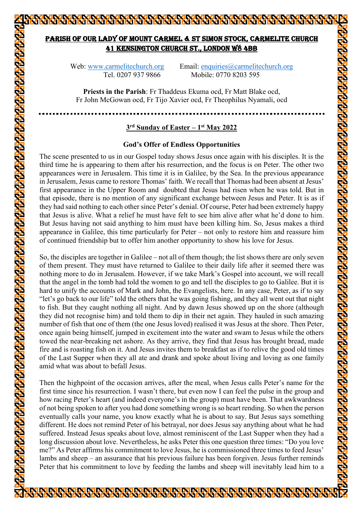# PARISH OF OUR LADY OF MOUNT CARMEL & ST SIMON STOCK, CARMELITE CHURCH 41 KENSINGTON CHURCH ST., LONDON W8 4BB

Web: www.carmelitechurch.org Email: enquiries@carmelitechurch.org Tel. 0207 937 9866 Mobile: 0770 8203 595

**Priests in the Parish**: Fr Thaddeus Ekuma ocd, Fr Matt Blake ocd, Fr John McGowan ocd, Fr Tijo Xavier ocd, Fr Theophilus Nyamali, ocd

## **3rd Sunday of Easter – 1st May 2022**

### **God's Offer of Endless Opportunities**

The scene presented to us in our Gospel today shows Jesus once again with his disciples. It is the third time he is appearing to them after his resurrection, and the focus is on Peter. The other two appearances were in Jerusalem. This time it is in Galilee, by the Sea. In the previous appearance in Jerusalem, Jesus came to restore Thomas' faith. We recall that Thomas had been absent at Jesus' first appearance in the Upper Room and doubted that Jesus had risen when he was told. But in that episode, there is no mention of any significant exchange between Jesus and Peter. It is as if they had said nothing to each other since Peter's denial. Of course, Peter had been extremely happy that Jesus is alive. What a relief he must have felt to see him alive after what he'd done to him. But Jesus having not said anything to him must have been killing him. So, Jesus makes a third appearance in Galilee, this time particularly for Peter – not only to restore him and reassure him of continued friendship but to offer him another opportunity to show his love for Jesus.

So, the disciples are together in Galilee – not all of them though; the list shows there are only seven of them present. They must have returned to Galilee to their daily life after it seemed there was nothing more to do in Jerusalem. However, if we take Mark's Gospel into account, we will recall that the angel in the tomb had told the women to go and tell the disciples to go to Galilee. But it is hard to unify the accounts of Mark and John, the Evangelists, here. In any case, Peter, as if to say "let's go back to our life" told the others that he was going fishing, and they all went out that night to fish. But they caught nothing all night. And by dawn Jesus showed up on the shore (although they did not recognise him) and told them to dip in their net again. They hauled in such amazing number of fish that one of them (the one Jesus loved) realised it was Jesus at the shore. Then Peter, once again being himself, jumped in excitement into the water and swam to Jesus while the others towed the near-breaking net ashore. As they arrive, they find that Jesus has brought bread, made fire and is roasting fish on it. And Jesus invites them to breakfast as if to relive the good old times of the Last Supper when they all ate and drank and spoke about living and loving as one family amid what was about to befall Jesus.

Then the highpoint of the occasion arrives, after the meal, when Jesus calls Peter's name for the first time since his resurrection. I wasn't there, but even now I can feel the pulse in the group and how racing Peter's heart (and indeed everyone's in the group) must have been. That awkwardness of not being spoken to after you had done something wrong is so heart rending. So when the person eventually calls your name, you know exactly what he is about to say. But Jesus says something different. He does not remind Peter of his betrayal, nor does Jesus say anything about what he had suffered. Instead Jesus speaks about love, almost reminiscent of the Last Supper when they had a long discussion about love. Nevertheless, he asks Peter this one question three times: "Do you love me?" As Peter affirms his commitment to love Jesus, he is commissioned three times to feed Jesus' lambs and sheep – an assurance that his previous failure has been forgiven. Jesus further reminds Peter that his commitment to love by feeding the lambs and sheep will inevitably lead him to a